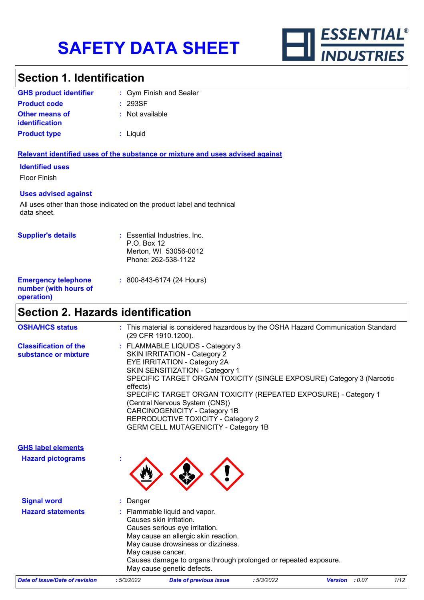

### **Section 1. Identification**

| <b>GHS product identifier</b> | : Gym Finish and Sealer |
|-------------------------------|-------------------------|
| <b>Product code</b>           | : 293SF                 |
| <b>Other means of</b>         | : Not available         |
| <i>identification</i>         |                         |
| <b>Product type</b>           | : Liquid                |

#### **Relevant identified uses of the substance or mixture and uses advised against**

#### **Identified uses**

Floor Finish

#### **Uses advised against**

All uses other than those indicated on the product label and technical data sheet.

| <b>Supplier's details</b>                                         | : Essential Industries, Inc.<br>$P.O.$ Box 12<br>Merton, WI 53056-0012<br>Phone: 262-538-1122 |
|-------------------------------------------------------------------|-----------------------------------------------------------------------------------------------|
| <b>Emergency telephone</b><br>number (with hours of<br>operation) | $: 800 - 843 - 6174 (24$ Hours)                                                               |

## **Section 2. Hazards identification**

| <b>OSHA/HCS status</b>                               | : This material is considered hazardous by the OSHA Hazard Communication Standard<br>(29 CFR 1910.1200).                                                                                                                                                                                                                                                                                                                                                          |
|------------------------------------------------------|-------------------------------------------------------------------------------------------------------------------------------------------------------------------------------------------------------------------------------------------------------------------------------------------------------------------------------------------------------------------------------------------------------------------------------------------------------------------|
| <b>Classification of the</b><br>substance or mixture | : FLAMMABLE LIQUIDS - Category 3<br><b>SKIN IRRITATION - Category 2</b><br><b>EYE IRRITATION - Category 2A</b><br>SKIN SENSITIZATION - Category 1<br>SPECIFIC TARGET ORGAN TOXICITY (SINGLE EXPOSURE) Category 3 (Narcotic<br>effects)<br>SPECIFIC TARGET ORGAN TOXICITY (REPEATED EXPOSURE) - Category 1<br>(Central Nervous System (CNS))<br>CARCINOGENICITY - Category 1B<br>REPRODUCTIVE TOXICITY - Category 2<br><b>GERM CELL MUTAGENICITY - Category 1B</b> |
| <b>GHS label elements</b>                            |                                                                                                                                                                                                                                                                                                                                                                                                                                                                   |
| <b>Hazard pictograms</b>                             |                                                                                                                                                                                                                                                                                                                                                                                                                                                                   |
| <b>Signal word</b>                                   | Danger                                                                                                                                                                                                                                                                                                                                                                                                                                                            |
| <b>Hazard statements</b>                             | : Flammable liquid and vapor.<br>Causes skin irritation.<br>Causes serious eye irritation.<br>May cause an allergic skin reaction.<br>May cause drowsiness or dizziness.<br>May cause cancer.<br>Causes damage to organs through prolonged or repeated exposure.                                                                                                                                                                                                  |

*Date of issue/Date of revision* **:** *5/3/2022 Date of previous issue : 5/3/2022 Version : 0.07 1/12*

May cause genetic defects.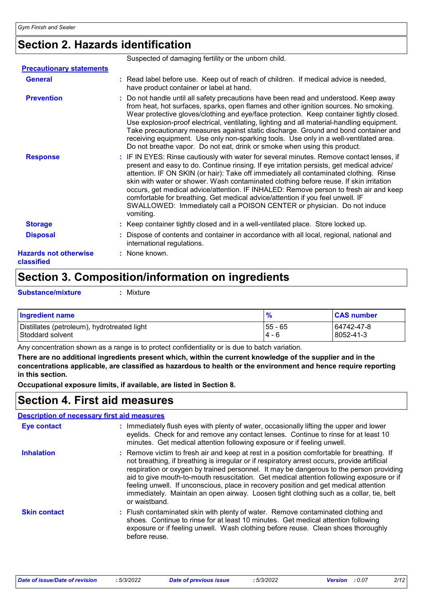### **Section 2. Hazards identification**

|                                            | Suspected of damaging fertility or the unborn child.                                                                                                                                                                                                                                                                                                                                                                                                                                                                                                                                                                                         |
|--------------------------------------------|----------------------------------------------------------------------------------------------------------------------------------------------------------------------------------------------------------------------------------------------------------------------------------------------------------------------------------------------------------------------------------------------------------------------------------------------------------------------------------------------------------------------------------------------------------------------------------------------------------------------------------------------|
| <b>Precautionary statements</b>            |                                                                                                                                                                                                                                                                                                                                                                                                                                                                                                                                                                                                                                              |
| <b>General</b>                             | : Read label before use. Keep out of reach of children. If medical advice is needed,<br>have product container or label at hand.                                                                                                                                                                                                                                                                                                                                                                                                                                                                                                             |
| <b>Prevention</b>                          | : Do not handle until all safety precautions have been read and understood. Keep away<br>from heat, hot surfaces, sparks, open flames and other ignition sources. No smoking.<br>Wear protective gloves/clothing and eye/face protection. Keep container tightly closed.<br>Use explosion-proof electrical, ventilating, lighting and all material-handling equipment.<br>Take precautionary measures against static discharge. Ground and bond container and<br>receiving equipment. Use only non-sparking tools. Use only in a well-ventilated area.<br>Do not breathe vapor. Do not eat, drink or smoke when using this product.          |
| <b>Response</b>                            | : IF IN EYES: Rinse cautiously with water for several minutes. Remove contact lenses, if<br>present and easy to do. Continue rinsing. If eye irritation persists, get medical advice/<br>attention. IF ON SKIN (or hair): Take off immediately all contaminated clothing. Rinse<br>skin with water or shower. Wash contaminated clothing before reuse. If skin irritation<br>occurs, get medical advice/attention. IF INHALED: Remove person to fresh air and keep<br>comfortable for breathing. Get medical advice/attention if you feel unwell. IF<br>SWALLOWED: Immediately call a POISON CENTER or physician. Do not induce<br>vomiting. |
| <b>Storage</b>                             | : Keep container tightly closed and in a well-ventilated place. Store locked up.                                                                                                                                                                                                                                                                                                                                                                                                                                                                                                                                                             |
| <b>Disposal</b>                            | : Dispose of contents and container in accordance with all local, regional, national and<br>international regulations.                                                                                                                                                                                                                                                                                                                                                                                                                                                                                                                       |
| <b>Hazards not otherwise</b><br>classified | : None known.                                                                                                                                                                                                                                                                                                                                                                                                                                                                                                                                                                                                                                |

### **Section 3. Composition/information on ingredients**

**Substance/mixture :**

: Mixture

| <b>Ingredient name</b>                      |           | <b>CAS number</b> |
|---------------------------------------------|-----------|-------------------|
| Distillates (petroleum), hydrotreated light | $55 - 65$ | 64742-47-8        |
| Stoddard solvent                            | $4 - 6$   | 8052-41-3         |

Any concentration shown as a range is to protect confidentiality or is due to batch variation.

**There are no additional ingredients present which, within the current knowledge of the supplier and in the concentrations applicable, are classified as hazardous to health or the environment and hence require reporting in this section.**

**Occupational exposure limits, if available, are listed in Section 8.**

### **Section 4. First aid measures**

| <b>Description of necessary first aid measures</b> |                                                                                                                                                                                                                                                                                                                                                                                                                                                                                                                                                                                      |
|----------------------------------------------------|--------------------------------------------------------------------------------------------------------------------------------------------------------------------------------------------------------------------------------------------------------------------------------------------------------------------------------------------------------------------------------------------------------------------------------------------------------------------------------------------------------------------------------------------------------------------------------------|
| <b>Eye contact</b>                                 | : Immediately flush eyes with plenty of water, occasionally lifting the upper and lower<br>eyelids. Check for and remove any contact lenses. Continue to rinse for at least 10<br>minutes. Get medical attention following exposure or if feeling unwell.                                                                                                                                                                                                                                                                                                                            |
| <b>Inhalation</b>                                  | : Remove victim to fresh air and keep at rest in a position comfortable for breathing. If<br>not breathing, if breathing is irregular or if respiratory arrest occurs, provide artificial<br>respiration or oxygen by trained personnel. It may be dangerous to the person providing<br>aid to give mouth-to-mouth resuscitation. Get medical attention following exposure or if<br>feeling unwell. If unconscious, place in recovery position and get medical attention<br>immediately. Maintain an open airway. Loosen tight clothing such as a collar, tie, belt<br>or waistband. |
| <b>Skin contact</b>                                | : Flush contaminated skin with plenty of water. Remove contaminated clothing and<br>shoes. Continue to rinse for at least 10 minutes. Get medical attention following<br>exposure or if feeling unwell. Wash clothing before reuse. Clean shoes thoroughly<br>before reuse.                                                                                                                                                                                                                                                                                                          |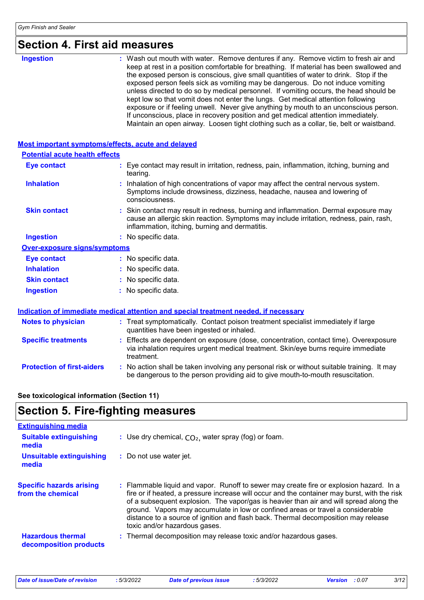## **Section 4. First aid measures**

| <b>Ingestion</b> | : Wash out mouth with water. Remove dentures if any. Remove victim to fresh air and<br>keep at rest in a position comfortable for breathing. If material has been swallowed and<br>the exposed person is conscious, give small quantities of water to drink. Stop if the<br>exposed person feels sick as vomiting may be dangerous. Do not induce vomiting<br>unless directed to do so by medical personnel. If vomiting occurs, the head should be<br>kept low so that vomit does not enter the lungs. Get medical attention following<br>exposure or if feeling unwell. Never give anything by mouth to an unconscious person.<br>If unconscious, place in recovery position and get medical attention immediately. |
|------------------|-----------------------------------------------------------------------------------------------------------------------------------------------------------------------------------------------------------------------------------------------------------------------------------------------------------------------------------------------------------------------------------------------------------------------------------------------------------------------------------------------------------------------------------------------------------------------------------------------------------------------------------------------------------------------------------------------------------------------|
|                  | Maintain an open airway. Loosen tight clothing such as a collar, tie, belt or waistband.                                                                                                                                                                                                                                                                                                                                                                                                                                                                                                                                                                                                                              |

| <b>Most important symptoms/effects, acute and delayed</b> |                                                                                                                                                                                                                                 |
|-----------------------------------------------------------|---------------------------------------------------------------------------------------------------------------------------------------------------------------------------------------------------------------------------------|
| <b>Potential acute health effects</b>                     |                                                                                                                                                                                                                                 |
| <b>Eye contact</b>                                        | Eye contact may result in irritation, redness, pain, inflammation, itching, burning and<br>tearing.                                                                                                                             |
| <b>Inhalation</b>                                         | : Inhalation of high concentrations of vapor may affect the central nervous system.<br>Symptoms include drowsiness, dizziness, headache, nausea and lowering of<br>consciousness.                                               |
| <b>Skin contact</b>                                       | : Skin contact may result in redness, burning and inflammation. Dermal exposure may<br>cause an allergic skin reaction. Symptoms may include irritation, redness, pain, rash,<br>inflammation, itching, burning and dermatitis. |
| <b>Ingestion</b>                                          | : No specific data.                                                                                                                                                                                                             |
| Over-exposure signs/symptoms                              |                                                                                                                                                                                                                                 |
| <b>Eye contact</b>                                        | : No specific data.                                                                                                                                                                                                             |
| <b>Inhalation</b>                                         | : No specific data.                                                                                                                                                                                                             |
| <b>Skin contact</b>                                       | : No specific data.                                                                                                                                                                                                             |
| <b>Ingestion</b>                                          | : No specific data.                                                                                                                                                                                                             |
|                                                           | Indication of immediate medical attention and special treatment needed, if necessary                                                                                                                                            |
| <b>Notes to physician</b>                                 | : Treat symptomatically. Contact poison treatment specialist immediately if large<br>quantities have been ingested or inhaled.                                                                                                  |
| <b>Specific treatments</b>                                | Effects are dependent on exposure (dose, concentration, contact time). Overexposure<br>via inhalation requires urgent medical treatment. Skin/eye burns require immediate<br>treatment.                                         |
| <b>Protection of first-aiders</b>                         | : No action shall be taken involving any personal risk or without suitable training. It may                                                                                                                                     |

### **See toxicological information (Section 11)**

### **Section 5. Fire-fighting measures**

| <b>Extinguishing media</b>                           |                                                                                                                                                                                                                                                                                                                                                                                                                                                                                             |
|------------------------------------------------------|---------------------------------------------------------------------------------------------------------------------------------------------------------------------------------------------------------------------------------------------------------------------------------------------------------------------------------------------------------------------------------------------------------------------------------------------------------------------------------------------|
| <b>Suitable extinguishing</b><br>media               | : Use dry chemical, $CO2$ , water spray (fog) or foam.                                                                                                                                                                                                                                                                                                                                                                                                                                      |
| <b>Unsuitable extinguishing</b><br>media             | : Do not use water jet.                                                                                                                                                                                                                                                                                                                                                                                                                                                                     |
| <b>Specific hazards arising</b><br>from the chemical | : Flammable liquid and vapor. Runoff to sewer may create fire or explosion hazard. In a<br>fire or if heated, a pressure increase will occur and the container may burst, with the risk<br>of a subsequent explosion. The vapor/gas is heavier than air and will spread along the<br>ground. Vapors may accumulate in low or confined areas or travel a considerable<br>distance to a source of ignition and flash back. Thermal decomposition may release<br>toxic and/or hazardous gases. |
| <b>Hazardous thermal</b><br>decomposition products   | : Thermal decomposition may release toxic and/or hazardous gases.                                                                                                                                                                                                                                                                                                                                                                                                                           |

be dangerous to the person providing aid to give mouth-to-mouth resuscitation.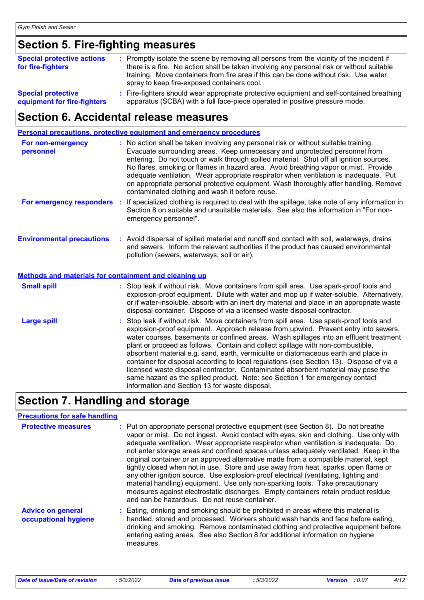### **Section 5. Fire-fighting measures**

| <b>Special protective actions</b><br>for fire-fighters   | : Promptly isolate the scene by removing all persons from the vicinity of the incident if<br>there is a fire. No action shall be taken involving any personal risk or without suitable<br>training. Move containers from fire area if this can be done without risk. Use water<br>spray to keep fire-exposed containers cool. |
|----------------------------------------------------------|-------------------------------------------------------------------------------------------------------------------------------------------------------------------------------------------------------------------------------------------------------------------------------------------------------------------------------|
| <b>Special protective</b><br>equipment for fire-fighters | : Fire-fighters should wear appropriate protective equipment and self-contained breathing<br>apparatus (SCBA) with a full face-piece operated in positive pressure mode.                                                                                                                                                      |

### **Section 6. Accidental release measures**

|                                                                                           | <b>Personal precautions, protective equipment and emergency procedures</b>                                                                                                                                                                                                                                                                                                                                                                                                                                                                                                                                                                                                                                                                                           |
|-------------------------------------------------------------------------------------------|----------------------------------------------------------------------------------------------------------------------------------------------------------------------------------------------------------------------------------------------------------------------------------------------------------------------------------------------------------------------------------------------------------------------------------------------------------------------------------------------------------------------------------------------------------------------------------------------------------------------------------------------------------------------------------------------------------------------------------------------------------------------|
| For non-emergency<br>personnel                                                            | : No action shall be taken involving any personal risk or without suitable training.<br>Evacuate surrounding areas. Keep unnecessary and unprotected personnel from<br>entering. Do not touch or walk through spilled material. Shut off all ignition sources.<br>No flares, smoking or flames in hazard area. Avoid breathing vapor or mist. Provide<br>adequate ventilation. Wear appropriate respirator when ventilation is inadequate. Put<br>on appropriate personal protective equipment. Wash thoroughly after handling. Remove<br>contaminated clothing and wash it before reuse.                                                                                                                                                                            |
|                                                                                           | For emergency responders : If specialized clothing is required to deal with the spillage, take note of any information in<br>Section 8 on suitable and unsuitable materials. See also the information in "For non-<br>emergency personnel".                                                                                                                                                                                                                                                                                                                                                                                                                                                                                                                          |
| <b>Environmental precautions</b><br>Methods and materials for containment and cleaning up | : Avoid dispersal of spilled material and runoff and contact with soil, waterways, drains<br>and sewers. Inform the relevant authorities if the product has caused environmental<br>pollution (sewers, waterways, soil or air).                                                                                                                                                                                                                                                                                                                                                                                                                                                                                                                                      |
| <b>Small spill</b>                                                                        | : Stop leak if without risk. Move containers from spill area. Use spark-proof tools and<br>explosion-proof equipment. Dilute with water and mop up if water-soluble. Alternatively,<br>or if water-insoluble, absorb with an inert dry material and place in an appropriate waste<br>disposal container. Dispose of via a licensed waste disposal contractor.                                                                                                                                                                                                                                                                                                                                                                                                        |
| <b>Large spill</b>                                                                        | : Stop leak if without risk. Move containers from spill area. Use spark-proof tools and<br>explosion-proof equipment. Approach release from upwind. Prevent entry into sewers,<br>water courses, basements or confined areas. Wash spillages into an effluent treatment<br>plant or proceed as follows. Contain and collect spillage with non-combustible,<br>absorbent material e.g. sand, earth, vermiculite or diatomaceous earth and place in<br>container for disposal according to local regulations (see Section 13). Dispose of via a<br>licensed waste disposal contractor. Contaminated absorbent material may pose the<br>same hazard as the spilled product. Note: see Section 1 for emergency contact<br>information and Section 13 for waste disposal. |

### **Section 7. Handling and storage**

#### **Precautions for safe handling**

| <b>Protective measures</b>                       | : Put on appropriate personal protective equipment (see Section 8). Do not breathe<br>vapor or mist. Do not ingest. Avoid contact with eyes, skin and clothing. Use only with<br>adequate ventilation. Wear appropriate respirator when ventilation is inadequate. Do<br>not enter storage areas and confined spaces unless adequately ventilated. Keep in the<br>original container or an approved alternative made from a compatible material, kept<br>tightly closed when not in use. Store and use away from heat, sparks, open flame or<br>any other ignition source. Use explosion-proof electrical (ventilating, lighting and<br>material handling) equipment. Use only non-sparking tools. Take precautionary<br>measures against electrostatic discharges. Empty containers retain product residue<br>and can be hazardous. Do not reuse container. |
|--------------------------------------------------|--------------------------------------------------------------------------------------------------------------------------------------------------------------------------------------------------------------------------------------------------------------------------------------------------------------------------------------------------------------------------------------------------------------------------------------------------------------------------------------------------------------------------------------------------------------------------------------------------------------------------------------------------------------------------------------------------------------------------------------------------------------------------------------------------------------------------------------------------------------|
| <b>Advice on general</b><br>occupational hygiene | : Eating, drinking and smoking should be prohibited in areas where this material is<br>handled, stored and processed. Workers should wash hands and face before eating,<br>drinking and smoking. Remove contaminated clothing and protective equipment before<br>entering eating areas. See also Section 8 for additional information on hygiene<br>measures.                                                                                                                                                                                                                                                                                                                                                                                                                                                                                                |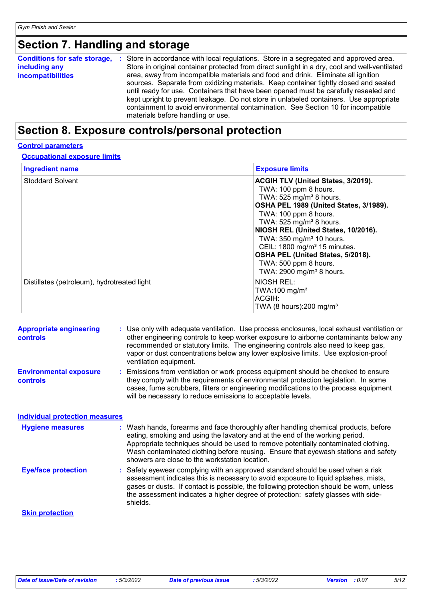# **Section 7. Handling and storage**

| <b>Conditions for safe storage,</b><br>-11<br>including any<br><b>incompatibilities</b> | Store in accordance with local regulations. Store in a segregated and approved area.<br>Store in original container protected from direct sunlight in a dry, cool and well-ventilated<br>area, away from incompatible materials and food and drink. Eliminate all ignition<br>sources. Separate from oxidizing materials. Keep container tightly closed and sealed<br>until ready for use. Containers that have been opened must be carefully resealed and<br>kept upright to prevent leakage. Do not store in unlabeled containers. Use appropriate<br>containment to avoid environmental contamination. See Section 10 for incompatible<br>materials before handling or use. |
|-----------------------------------------------------------------------------------------|--------------------------------------------------------------------------------------------------------------------------------------------------------------------------------------------------------------------------------------------------------------------------------------------------------------------------------------------------------------------------------------------------------------------------------------------------------------------------------------------------------------------------------------------------------------------------------------------------------------------------------------------------------------------------------|
|-----------------------------------------------------------------------------------------|--------------------------------------------------------------------------------------------------------------------------------------------------------------------------------------------------------------------------------------------------------------------------------------------------------------------------------------------------------------------------------------------------------------------------------------------------------------------------------------------------------------------------------------------------------------------------------------------------------------------------------------------------------------------------------|

### **Section 8. Exposure controls/personal protection**

#### **Control parameters**

**Occupational exposure limits**

| <b>Ingredient name</b>                      | <b>Exposure limits</b>                                                                                                                                                                                                                                                                                                                                                                                                                                 |
|---------------------------------------------|--------------------------------------------------------------------------------------------------------------------------------------------------------------------------------------------------------------------------------------------------------------------------------------------------------------------------------------------------------------------------------------------------------------------------------------------------------|
| <b>Stoddard Solvent</b>                     | <b>ACGIH TLV (United States, 3/2019).</b><br>TWA: 100 ppm 8 hours.<br>TWA: 525 mg/m <sup>3</sup> 8 hours.<br>OSHA PEL 1989 (United States, 3/1989).<br>TWA: 100 ppm 8 hours.<br>TWA: $525$ mg/m <sup>3</sup> 8 hours.<br>NIOSH REL (United States, 10/2016).<br>TWA: 350 mg/m <sup>3</sup> 10 hours.<br>CEIL: 1800 mg/m <sup>3</sup> 15 minutes.<br>OSHA PEL (United States, 5/2018).<br>TWA: 500 ppm 8 hours.<br>TWA: 2900 mg/m <sup>3</sup> 8 hours. |
| Distillates (petroleum), hydrotreated light | INIOSH REL:<br>TWA:100 mg/m <sup>3</sup><br>ACGIH:<br>TWA (8 hours): $200 \text{ mg/m}^3$                                                                                                                                                                                                                                                                                                                                                              |

| <b>Appropriate engineering</b><br><b>controls</b> | : Use only with adequate ventilation. Use process enclosures, local exhaust ventilation or<br>other engineering controls to keep worker exposure to airborne contaminants below any<br>recommended or statutory limits. The engineering controls also need to keep gas,<br>vapor or dust concentrations below any lower explosive limits. Use explosion-proof<br>ventilation equipment.           |
|---------------------------------------------------|---------------------------------------------------------------------------------------------------------------------------------------------------------------------------------------------------------------------------------------------------------------------------------------------------------------------------------------------------------------------------------------------------|
| <b>Environmental exposure</b><br><b>controls</b>  | : Emissions from ventilation or work process equipment should be checked to ensure<br>they comply with the requirements of environmental protection legislation. In some<br>cases, fume scrubbers, filters or engineering modifications to the process equipment<br>will be necessary to reduce emissions to acceptable levels.                                                                   |
| <b>Individual protection measures</b>             |                                                                                                                                                                                                                                                                                                                                                                                                   |
| <b>Hygiene measures</b>                           | : Wash hands, forearms and face thoroughly after handling chemical products, before<br>eating, smoking and using the lavatory and at the end of the working period.<br>Appropriate techniques should be used to remove potentially contaminated clothing.<br>Wash contaminated clothing before reusing. Ensure that eyewash stations and safety<br>showers are close to the workstation location. |
| <b>Eye/face protection</b>                        | : Safety eyewear complying with an approved standard should be used when a risk<br>assessment indicates this is necessary to avoid exposure to liquid splashes, mists,<br>gases or dusts. If contact is possible, the following protection should be worn, unless<br>the assessment indicates a higher degree of protection: safety glasses with side-<br>shields.                                |
| <b>Skin protection</b>                            |                                                                                                                                                                                                                                                                                                                                                                                                   |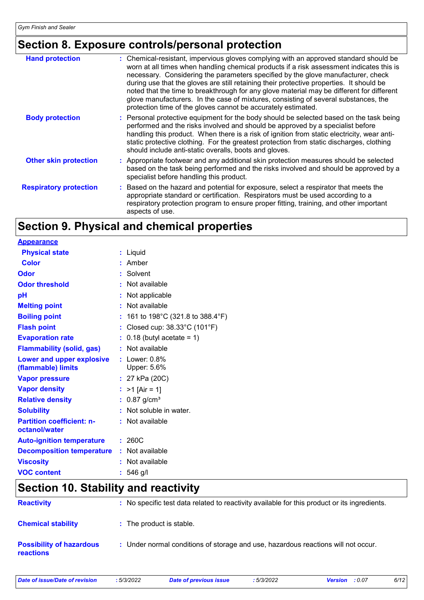### **Section 8. Exposure controls/personal protection**

| <b>Hand protection</b>        | : Chemical-resistant, impervious gloves complying with an approved standard should be<br>worn at all times when handling chemical products if a risk assessment indicates this is<br>necessary. Considering the parameters specified by the glove manufacturer, check<br>during use that the gloves are still retaining their protective properties. It should be<br>noted that the time to breakthrough for any glove material may be different for different<br>glove manufacturers. In the case of mixtures, consisting of several substances, the<br>protection time of the gloves cannot be accurately estimated. |
|-------------------------------|------------------------------------------------------------------------------------------------------------------------------------------------------------------------------------------------------------------------------------------------------------------------------------------------------------------------------------------------------------------------------------------------------------------------------------------------------------------------------------------------------------------------------------------------------------------------------------------------------------------------|
| <b>Body protection</b>        | : Personal protective equipment for the body should be selected based on the task being<br>performed and the risks involved and should be approved by a specialist before<br>handling this product. When there is a risk of ignition from static electricity, wear anti-<br>static protective clothing. For the greatest protection from static discharges, clothing<br>should include anti-static overalls, boots and gloves.                                                                                                                                                                                         |
| <b>Other skin protection</b>  | : Appropriate footwear and any additional skin protection measures should be selected<br>based on the task being performed and the risks involved and should be approved by a<br>specialist before handling this product.                                                                                                                                                                                                                                                                                                                                                                                              |
| <b>Respiratory protection</b> | : Based on the hazard and potential for exposure, select a respirator that meets the<br>appropriate standard or certification. Respirators must be used according to a<br>respiratory protection program to ensure proper fitting, training, and other important<br>aspects of use.                                                                                                                                                                                                                                                                                                                                    |

### **Section 9. Physical and chemical properties**

| <b>Appearance</b>                                 |                                   |
|---------------------------------------------------|-----------------------------------|
| <b>Physical state</b>                             | : Liquid                          |
| <b>Color</b>                                      | $:$ Amber                         |
| Odor                                              | Solvent                           |
| <b>Odor threshold</b>                             | Not available                     |
| рH                                                | Not applicable                    |
| <b>Melting point</b>                              | Not available                     |
| <b>Boiling point</b>                              | 161 to 198°C (321.8 to 388.4°F)   |
| <b>Flash point</b>                                | Closed cup: 38.33°C (101°F)       |
| <b>Evaporation rate</b>                           | $: 0.18$ (butyl acetate = 1)      |
| <b>Flammability (solid, gas)</b>                  | Not available                     |
| Lower and upper explosive<br>(flammable) limits   | $:$ Lower: $0.8\%$<br>Upper: 5.6% |
| <b>Vapor pressure</b>                             | : $27$ kPa (20C)                  |
| <b>Vapor density</b>                              | $>1$ [Air = 1]<br>t.              |
| <b>Relative density</b>                           | : $0.87$ g/cm <sup>3</sup>        |
| <b>Solubility</b>                                 | Not soluble in water.             |
| <b>Partition coefficient: n-</b><br>octanol/water | Not available                     |
| <b>Auto-ignition temperature</b>                  | 260C<br>÷.                        |
| <b>Decomposition temperature</b>                  | Not available<br>÷.               |
| <b>Viscosity</b>                                  | Not available                     |
| <b>VOC content</b>                                | $: 546$ g/l                       |
|                                                   |                                   |

### **Section 10. Stability and reactivity**

| <b>Reactivity</b>                                   | : No specific test data related to reactivity available for this product or its ingredients. |
|-----------------------------------------------------|----------------------------------------------------------------------------------------------|
| <b>Chemical stability</b>                           | : The product is stable.                                                                     |
| <b>Possibility of hazardous</b><br><b>reactions</b> | : Under normal conditions of storage and use, hazardous reactions will not occur.            |

| Date of issue/Date of revision | :5/3/ |
|--------------------------------|-------|
|                                |       |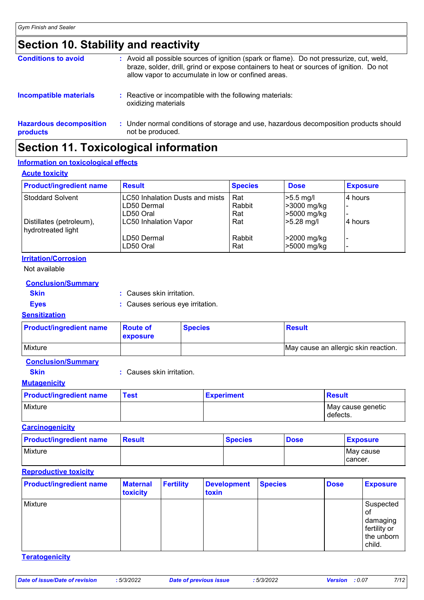### **Section 10. Stability and reactivity**

| <b>Hazardous decomposition</b><br>products | : Under normal conditions of storage and use, hazardous decomposition products should<br>not be produced.                                                                                                                                  |
|--------------------------------------------|--------------------------------------------------------------------------------------------------------------------------------------------------------------------------------------------------------------------------------------------|
| <b>Incompatible materials</b>              | : Reactive or incompatible with the following materials:<br>oxidizing materials                                                                                                                                                            |
| <b>Conditions to avoid</b>                 | : Avoid all possible sources of ignition (spark or flame). Do not pressurize, cut, weld,<br>braze, solder, drill, grind or expose containers to heat or sources of ignition. Do not<br>allow vapor to accumulate in low or confined areas. |

### **Section 11. Toxicological information**

#### **Information on toxicological effects**

#### **Acute toxicity**

| <b>Product/ingredient name</b>                 | <b>Result</b>                                         | <b>Species</b> | <b>Dose</b>                 | <b>Exposure</b> |
|------------------------------------------------|-------------------------------------------------------|----------------|-----------------------------|-----------------|
| <b>Stoddard Solvent</b>                        | <b>LC50 Inhalation Dusts and mists</b><br>LD50 Dermal | Rat<br>Rabbit  | $>5.5$ mg/l<br>>3000 mg/kg  | 4 hours         |
| Distillates (petroleum),<br>hydrotreated light | LD50 Oral<br><b>LC50 Inhalation Vapor</b>             | Rat<br>Rat     | >5000 mg/kg<br>$>5.28$ mg/l | l4 hours        |
|                                                | LD50 Dermal<br>LD50 Oral                              | Rabbit<br>Rat  | >2000 mg/kg<br>>5000 mg/kg  |                 |

#### **Irritation/Corrosion**

Not available

#### **Conclusion/Summary**

**Skin :** Causes skin irritation.

- 
- **Eyes :** Causes serious eye irritation.

#### **Sensitization**

| <b>Product/ingredient name</b> | <b>Route of</b><br><b>exposure</b> | <b>Species</b> | <b>Result</b>                        |
|--------------------------------|------------------------------------|----------------|--------------------------------------|
| <b>Mixture</b>                 |                                    |                | May cause an allergic skin reaction. |

#### **Conclusion/Summary**

**Skin :** Causes skin irritation.

#### **Mutagenicity**

| <b>Product/ingredient name</b> | <b>Test</b> | <b>Experiment</b> | Result                        |
|--------------------------------|-------------|-------------------|-------------------------------|
| Mixture                        |             |                   | May cause genetic<br>defects. |

#### **Carcinogenicity**

| <b>Product/ingredient name</b> | <b>Result</b> | <b>Species</b> | <b>Dose</b> | <b>Exposure</b>   |
|--------------------------------|---------------|----------------|-------------|-------------------|
| Mixture                        |               |                |             | <b>IMay cause</b> |
|                                |               |                |             | Tcancer.          |

#### **Reproductive toxicity**

| <b>Product/ingredient name</b> | <b>Maternal</b><br>toxicity | <b>Fertility</b> | <b>Development</b><br>toxin | <b>Species</b> | <b>Dose</b> | <b>Exposure</b>                                                     |
|--------------------------------|-----------------------------|------------------|-----------------------------|----------------|-------------|---------------------------------------------------------------------|
| Mixture                        |                             |                  |                             |                |             | Suspected<br>0t<br>damaging<br>fertility or<br>the unborn<br>child. |

#### **Teratogenicity**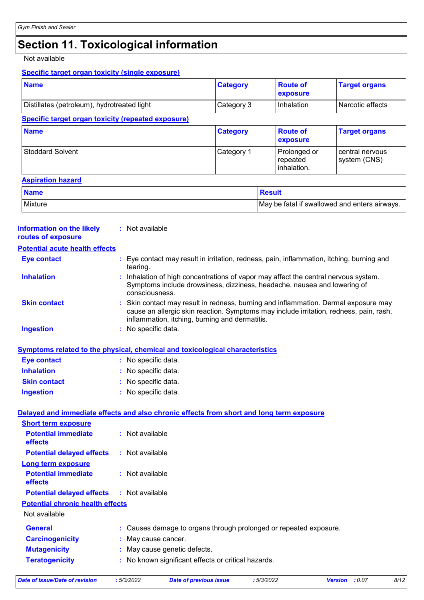# **Section 11. Toxicological information**

#### Not available

#### **Specific target organ toxicity (single exposure)**

| <b>Name</b>                                                                                     |                     |                                                                                                                                                                                                                               | <b>Category</b> |               | <b>Route of</b><br>exposure             | <b>Target organs</b>                          |
|-------------------------------------------------------------------------------------------------|---------------------|-------------------------------------------------------------------------------------------------------------------------------------------------------------------------------------------------------------------------------|-----------------|---------------|-----------------------------------------|-----------------------------------------------|
| Distillates (petroleum), hydrotreated light                                                     |                     |                                                                                                                                                                                                                               | Category 3      |               | Inhalation                              | Narcotic effects                              |
| <b>Specific target organ toxicity (repeated exposure)</b>                                       |                     |                                                                                                                                                                                                                               |                 |               |                                         |                                               |
| <b>Name</b>                                                                                     |                     |                                                                                                                                                                                                                               | <b>Category</b> |               | <b>Route of</b><br>exposure             | <b>Target organs</b>                          |
| <b>Stoddard Solvent</b>                                                                         |                     |                                                                                                                                                                                                                               | Category 1      |               | Prolonged or<br>repeated<br>inhalation. | central nervous<br>system (CNS)               |
| <b>Aspiration hazard</b>                                                                        |                     |                                                                                                                                                                                                                               |                 |               |                                         |                                               |
| <b>Name</b>                                                                                     |                     |                                                                                                                                                                                                                               |                 | <b>Result</b> |                                         |                                               |
| <b>Mixture</b>                                                                                  |                     |                                                                                                                                                                                                                               |                 |               |                                         | May be fatal if swallowed and enters airways. |
| <b>Information on the likely</b><br>routes of exposure<br><b>Potential acute health effects</b> |                     | : Not available                                                                                                                                                                                                               |                 |               |                                         |                                               |
| <b>Eye contact</b>                                                                              |                     | Eye contact may result in irritation, redness, pain, inflammation, itching, burning and                                                                                                                                       |                 |               |                                         |                                               |
| <b>Inhalation</b>                                                                               |                     | tearing.<br>Inhalation of high concentrations of vapor may affect the central nervous system.<br>Symptoms include drowsiness, dizziness, headache, nausea and lowering of<br>consciousness.                                   |                 |               |                                         |                                               |
| <b>Skin contact</b>                                                                             |                     | Skin contact may result in redness, burning and inflammation. Dermal exposure may<br>cause an allergic skin reaction. Symptoms may include irritation, redness, pain, rash,<br>inflammation, itching, burning and dermatitis. |                 |               |                                         |                                               |
| <b>Ingestion</b>                                                                                | : No specific data. |                                                                                                                                                                                                                               |                 |               |                                         |                                               |
| <b>Symptoms related to the physical, chemical and toxicological characteristics</b>             |                     |                                                                                                                                                                                                                               |                 |               |                                         |                                               |
| <b>Eye contact</b>                                                                              |                     | : No specific data.                                                                                                                                                                                                           |                 |               |                                         |                                               |
| <b>Inhalation</b>                                                                               |                     | No specific data.                                                                                                                                                                                                             |                 |               |                                         |                                               |
| <b>Skin contact</b>                                                                             |                     | No specific data.                                                                                                                                                                                                             |                 |               |                                         |                                               |
| <b>Ingestion</b>                                                                                |                     | No specific data.                                                                                                                                                                                                             |                 |               |                                         |                                               |
| Delayed and immediate effects and also chronic effects from short and long term exposure        |                     |                                                                                                                                                                                                                               |                 |               |                                         |                                               |
| <b>Short term exposure</b>                                                                      |                     |                                                                                                                                                                                                                               |                 |               |                                         |                                               |
| <b>Potential immediate</b>                                                                      |                     | : Not available                                                                                                                                                                                                               |                 |               |                                         |                                               |
| effects                                                                                         |                     |                                                                                                                                                                                                                               |                 |               |                                         |                                               |
| <b>Potential delayed effects</b>                                                                |                     | : Not available                                                                                                                                                                                                               |                 |               |                                         |                                               |
|                                                                                                 |                     |                                                                                                                                                                                                                               |                 |               |                                         |                                               |
| <b>Potential immediate</b><br>effects                                                           |                     | : Not available                                                                                                                                                                                                               |                 |               |                                         |                                               |
| <b>Potential delayed effects</b>                                                                |                     | : Not available                                                                                                                                                                                                               |                 |               |                                         |                                               |
|                                                                                                 |                     |                                                                                                                                                                                                                               |                 |               |                                         |                                               |
| <b>Long term exposure</b><br><b>Potential chronic health effects</b><br>Not available           |                     |                                                                                                                                                                                                                               |                 |               |                                         |                                               |
| <b>General</b>                                                                                  |                     | : Causes damage to organs through prolonged or repeated exposure.                                                                                                                                                             |                 |               |                                         |                                               |
| <b>Carcinogenicity</b>                                                                          |                     | May cause cancer.                                                                                                                                                                                                             |                 |               |                                         |                                               |
| <b>Mutagenicity</b><br><b>Teratogenicity</b>                                                    |                     | May cause genetic defects.<br>: No known significant effects or critical hazards.                                                                                                                                             |                 |               |                                         |                                               |

*Date of issue/Date of revision* **:** *5/3/2022 Date of previous issue : 5/3/2022 Version : 0.07 8/12*

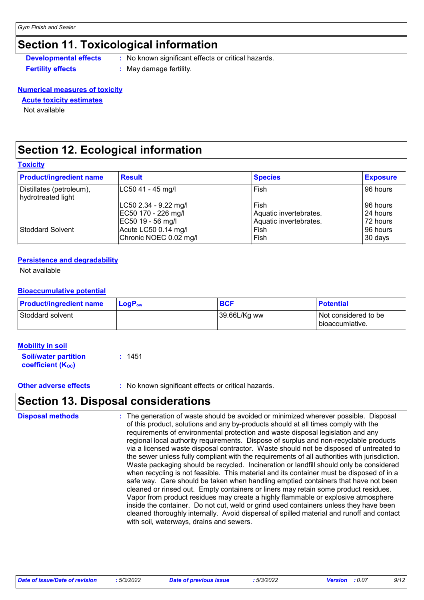### **Section 11. Toxicological information**

**Developmental effects** : No known significant effects or critical hazards.

**Fertility effects :** May damage fertility.

#### **Numerical measures of toxicity**

#### **Acute toxicity estimates**

Not available

### **Section 12. Ecological information**

|  |  | <b>Toxicity</b> |  |  |
|--|--|-----------------|--|--|
|--|--|-----------------|--|--|

| <b>Product/ingredient name</b>                 | <b>Result</b>          | <b>Species</b>         | <b>Exposure</b> |
|------------------------------------------------|------------------------|------------------------|-----------------|
| Distillates (petroleum),<br>hydrotreated light | LC50 41 - 45 mg/l      | l Fish                 | 96 hours        |
|                                                | LC50 2.34 - 9.22 mg/l  | l Fish                 | I96 hours       |
|                                                | EC50 170 - 226 mg/l    | Aquatic invertebrates. | 24 hours        |
|                                                | EC50 19 - 56 mg/l      | Aquatic invertebrates. | 72 hours        |
| Stoddard Solvent                               | Acute LC50 0.14 mg/l   | Fish                   | 96 hours        |
|                                                | Chronic NOEC 0.02 mg/l | l Fish                 | 30 days         |

#### **Persistence and degradability**

Not available

#### **Bioaccumulative potential**

| <b>Product/ingredient name</b> | $LoaPow$ | <b>BCF</b>   | <b>Potential</b>                        |
|--------------------------------|----------|--------------|-----------------------------------------|
| Stoddard solvent               |          | 39.66L/Kg ww | Not considered to be<br>bioaccumlative. |

#### **Mobility in soil**

| <b>Soil/water partition</b> | : 1451 |
|-----------------------------|--------|
| <b>coefficient (Koc)</b>    |        |

**Other adverse effects** : No known significant effects or critical hazards.

### **Section 13. Disposal considerations**

| <b>Disposal methods</b> | The generation of waste should be avoided or minimized wherever possible. Disposal<br>of this product, solutions and any by-products should at all times comply with the<br>requirements of environmental protection and waste disposal legislation and any<br>regional local authority requirements. Dispose of surplus and non-recyclable products<br>via a licensed waste disposal contractor. Waste should not be disposed of untreated to<br>the sewer unless fully compliant with the requirements of all authorities with jurisdiction.<br>Waste packaging should be recycled. Incineration or landfill should only be considered<br>when recycling is not feasible. This material and its container must be disposed of in a<br>safe way. Care should be taken when handling emptied containers that have not been<br>cleaned or rinsed out. Empty containers or liners may retain some product residues.<br>Vapor from product residues may create a highly flammable or explosive atmosphere<br>inside the container. Do not cut, weld or grind used containers unless they have been |
|-------------------------|-------------------------------------------------------------------------------------------------------------------------------------------------------------------------------------------------------------------------------------------------------------------------------------------------------------------------------------------------------------------------------------------------------------------------------------------------------------------------------------------------------------------------------------------------------------------------------------------------------------------------------------------------------------------------------------------------------------------------------------------------------------------------------------------------------------------------------------------------------------------------------------------------------------------------------------------------------------------------------------------------------------------------------------------------------------------------------------------------|
|                         | cleaned thoroughly internally. Avoid dispersal of spilled material and runoff and contact<br>with soil, waterways, drains and sewers.                                                                                                                                                                                                                                                                                                                                                                                                                                                                                                                                                                                                                                                                                                                                                                                                                                                                                                                                                           |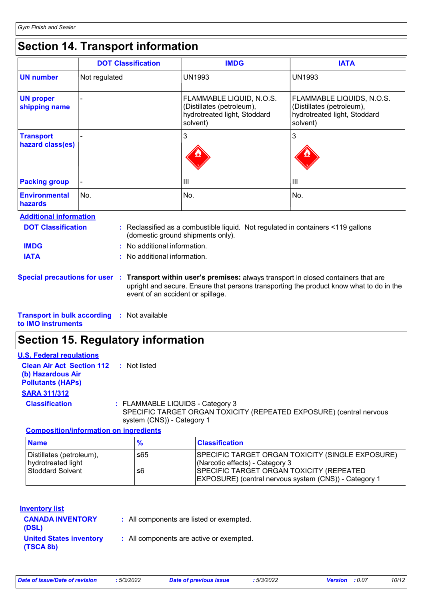## **Section 14. Transport information**

|                                                            | <b>DOT Classification</b> | <b>IMDG</b>                                                                                       | <b>IATA</b>                                                                                        |
|------------------------------------------------------------|---------------------------|---------------------------------------------------------------------------------------------------|----------------------------------------------------------------------------------------------------|
| <b>UN number</b>                                           | Not regulated             | <b>UN1993</b>                                                                                     | <b>UN1993</b>                                                                                      |
| <b>UN proper</b><br>shipping name                          |                           | FLAMMABLE LIQUID, N.O.S.<br>(Distillates (petroleum),<br>hydrotreated light, Stoddard<br>solvent) | FLAMMABLE LIQUIDS, N.O.S.<br>(Distillates (petroleum),<br>hydrotreated light, Stoddard<br>solvent) |
| <b>Transport</b><br>hazard class(es)                       |                           | 3                                                                                                 | 3                                                                                                  |
| <b>Packing group</b>                                       |                           | $\mathbf{III}$                                                                                    | III                                                                                                |
| <b>Environmental</b><br>hazards                            | No.                       | No.                                                                                               | No.                                                                                                |
| <b>Additional information</b><br><b>DOT Classification</b> |                           | . Declessified as a combustible liquid. Not requisted in containers <440 gollano                  |                                                                                                    |

| <b>DOT Classification</b>                          | : Reclassified as a combustible liquid. Not regulated in containers <119 gallons<br>(domestic ground shipments only).                                                                                                                           |
|----------------------------------------------------|-------------------------------------------------------------------------------------------------------------------------------------------------------------------------------------------------------------------------------------------------|
| <b>IMDG</b>                                        | : No additional information.                                                                                                                                                                                                                    |
| <b>IATA</b>                                        | : No additional information.                                                                                                                                                                                                                    |
|                                                    | Special precautions for user : Transport within user's premises: always transport in closed containers that are<br>upright and secure. Ensure that persons transporting the product know what to do in the<br>event of an accident or spillage. |
| <b>Transport in bulk according : Not available</b> |                                                                                                                                                                                                                                                 |

**to IMO instruments**

### **Section 15. Regulatory information**

| <b>U.S. Federal regulations</b>                                                                |                                                                                                                                       |
|------------------------------------------------------------------------------------------------|---------------------------------------------------------------------------------------------------------------------------------------|
| <b>Clean Air Act Section 112 : Not listed</b><br>(b) Hazardous Air<br><b>Pollutants (HAPs)</b> |                                                                                                                                       |
| <b>SARA 311/312</b>                                                                            |                                                                                                                                       |
| <b>Classification</b>                                                                          | : FLAMMABLE LIQUIDS - Category 3<br>SPECIFIC TARGET ORGAN TOXICITY (REPEATED EXPOSURE) (central nervous<br>system (CNS)) - Category 1 |
| <b>Composition/information on ingredients</b>                                                  |                                                                                                                                       |

| <b>Name</b>                                                               | %         | <b>Classification</b>                                                                                                                                                                           |
|---------------------------------------------------------------------------|-----------|-------------------------------------------------------------------------------------------------------------------------------------------------------------------------------------------------|
| Distillates (petroleum),<br>hydrotreated light<br><b>Stoddard Solvent</b> | ≤65<br>≤6 | SPECIFIC TARGET ORGAN TOXICITY (SINGLE EXPOSURE)<br>(Narcotic effects) - Category 3<br><b>SPECIFIC TARGET ORGAN TOXICITY (REPEATED</b><br>EXPOSURE) (central nervous system (CNS)) - Category 1 |

| <b>Inventory list</b>                       |                                          |
|---------------------------------------------|------------------------------------------|
| <b>CANADA INVENTORY</b><br>(DSL)            | : All components are listed or exempted. |
| <b>United States inventory</b><br>(TSCA 8b) | : All components are active or exempted. |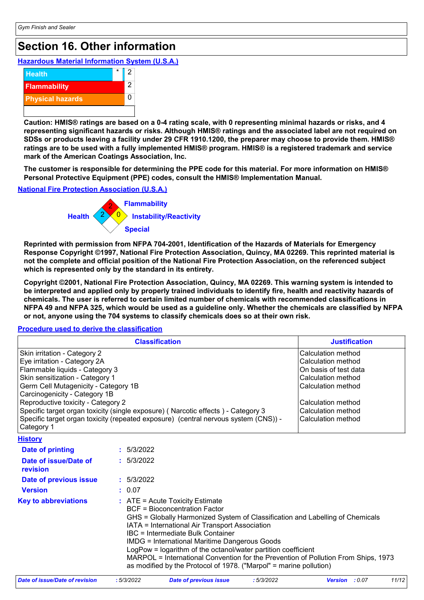### **Section 16. Other information**

### **Hazardous Material Information System (U.S.A.)**



**Caution: HMIS® ratings are based on a 0-4 rating scale, with 0 representing minimal hazards or risks, and 4 representing significant hazards or risks. Although HMIS® ratings and the associated label are not required on SDSs or products leaving a facility under 29 CFR 1910.1200, the preparer may choose to provide them. HMIS® ratings are to be used with a fully implemented HMIS® program. HMIS® is a registered trademark and service mark of the American Coatings Association, Inc.**

**The customer is responsible for determining the PPE code for this material. For more information on HMIS® Personal Protective Equipment (PPE) codes, consult the HMIS® Implementation Manual.**

#### **National Fire Protection Association (U.S.A.)**



**Reprinted with permission from NFPA 704-2001, Identification of the Hazards of Materials for Emergency Response Copyright ©1997, National Fire Protection Association, Quincy, MA 02269. This reprinted material is not the complete and official position of the National Fire Protection Association, on the referenced subject which is represented only by the standard in its entirety.**

**Copyright ©2001, National Fire Protection Association, Quincy, MA 02269. This warning system is intended to be interpreted and applied only by properly trained individuals to identify fire, health and reactivity hazards of chemicals. The user is referred to certain limited number of chemicals with recommended classifications in NFPA 49 and NFPA 325, which would be used as a guideline only. Whether the chemicals are classified by NFPA or not, anyone using the 704 systems to classify chemicals does so at their own risk.**

#### **Procedure used to derive the classification**

|                                                                                                                                                                                                                                                                                                                                                                                                                                           | <b>Justification</b>                                                                                                                                                                                                                                                                                                                                                                                                                                                                                                                   |  |  |
|-------------------------------------------------------------------------------------------------------------------------------------------------------------------------------------------------------------------------------------------------------------------------------------------------------------------------------------------------------------------------------------------------------------------------------------------|----------------------------------------------------------------------------------------------------------------------------------------------------------------------------------------------------------------------------------------------------------------------------------------------------------------------------------------------------------------------------------------------------------------------------------------------------------------------------------------------------------------------------------------|--|--|
| Skin irritation - Category 2<br>Eye irritation - Category 2A<br>Flammable liquids - Category 3<br>Skin sensitization - Category 1<br>Germ Cell Mutagenicity - Category 1B<br>Carcinogenicity - Category 1B<br>Reproductive toxicity - Category 2<br>Specific target organ toxicity (single exposure) (Narcotic effects) - Category 3<br>Specific target organ toxicity (repeated exposure) (central nervous system (CNS)) -<br>Category 1 | Calculation method<br>Calculation method<br>On basis of test data<br>Calculation method<br>Calculation method<br>Calculation method<br>Calculation method<br>Calculation method                                                                                                                                                                                                                                                                                                                                                        |  |  |
| <b>History</b>                                                                                                                                                                                                                                                                                                                                                                                                                            |                                                                                                                                                                                                                                                                                                                                                                                                                                                                                                                                        |  |  |
| <b>Date of printing</b>                                                                                                                                                                                                                                                                                                                                                                                                                   | : 5/3/2022                                                                                                                                                                                                                                                                                                                                                                                                                                                                                                                             |  |  |
| Date of issue/Date of<br>revision                                                                                                                                                                                                                                                                                                                                                                                                         | : 5/3/2022                                                                                                                                                                                                                                                                                                                                                                                                                                                                                                                             |  |  |
| Date of previous issue                                                                                                                                                                                                                                                                                                                                                                                                                    | : 5/3/2022                                                                                                                                                                                                                                                                                                                                                                                                                                                                                                                             |  |  |
| <b>Version</b>                                                                                                                                                                                                                                                                                                                                                                                                                            | : 0.07                                                                                                                                                                                                                                                                                                                                                                                                                                                                                                                                 |  |  |
| <b>Key to abbreviations</b>                                                                                                                                                                                                                                                                                                                                                                                                               | $:$ ATE = Acute Toxicity Estimate<br><b>BCF</b> = Bioconcentration Factor<br>GHS = Globally Harmonized System of Classification and Labelling of Chemicals<br>IATA = International Air Transport Association<br>IBC = Intermediate Bulk Container<br><b>IMDG</b> = International Maritime Dangerous Goods<br>LogPow = logarithm of the octanol/water partition coefficient<br>MARPOL = International Convention for the Prevention of Pollution From Ships, 1973<br>as modified by the Protocol of 1978. ("Marpol" = marine pollution) |  |  |

| Date of issue/Date of revision | 5/3/2022 | Date of previous issue | 5/3/2022 | <b>Version</b> : 0.07 | 11/12 |
|--------------------------------|----------|------------------------|----------|-----------------------|-------|
|                                |          |                        |          |                       |       |